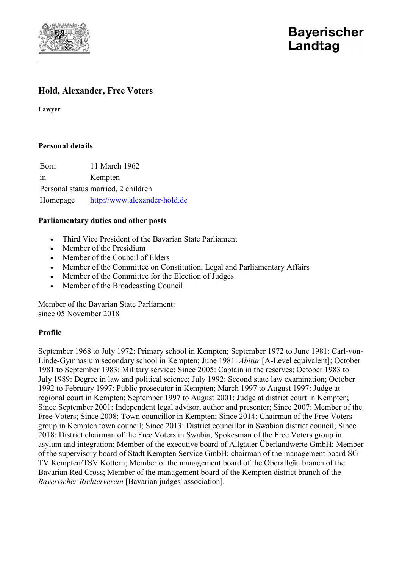

# **Hold, Alexander, Free Voters**

**Lawyer**

#### **Personal details**

Born 11 March 1962 in Kempten Personal status married, 2 children Homepage [http://www.alexander-hold.de](http://www.alexander-hold.de/)

#### **Parliamentary duties and other posts**

- Third Vice President of the Bavarian State Parliament
- Member of the Presidium
- Member of the Council of Elders
- Member of the Committee on Constitution, Legal and Parliamentary Affairs
- Member of the Committee for the Election of Judges
- Member of the Broadcasting Council

Member of the Bavarian State Parliament: since 05 November 2018

### **Profile**

September 1968 to July 1972: Primary school in Kempten; September 1972 to June 1981: Carl-von-Linde-Gymnasium secondary school in Kempten; June 1981: *Abitur* [A-Level equivalent]; October 1981 to September 1983: Military service; Since 2005: Captain in the reserves; October 1983 to July 1989: Degree in law and political science; July 1992: Second state law examination; October 1992 to February 1997: Public prosecutor in Kempten; March 1997 to August 1997: Judge at regional court in Kempten; September 1997 to August 2001: Judge at district court in Kempten; Since September 2001: Independent legal advisor, author and presenter; Since 2007: Member of the Free Voters; Since 2008: Town councillor in Kempten; Since 2014: Chairman of the Free Voters group in Kempten town council; Since 2013: District councillor in Swabian district council; Since 2018: District chairman of the Free Voters in Swabia; Spokesman of the Free Voters group in asylum and integration; Member of the executive board of Allgäuer Überlandwerte GmbH; Member of the supervisory board of Stadt Kempten Service GmbH; chairman of the management board SG TV Kempten/TSV Kottern; Member of the management board of the Oberallgäu branch of the Bavarian Red Cross; Member of the management board of the Kempten district branch of the *Bayerischer Richterverein* [Bavarian judges' association].